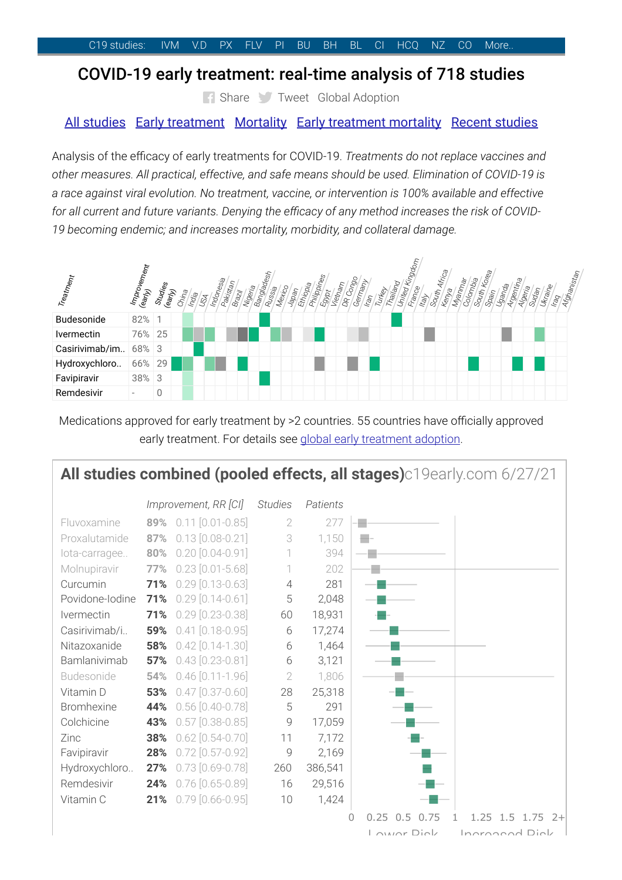## COVID-19 early [treatment:](https://c19early.com/) real-time analysis of 718 studies

[Share](https://www.facebook.com/sharer/sharer.php?u=https://c19early.com/) Tweet Global [Adoption](https://c19adoption.com/)

## All [studies](#page-0-0) Early [treatment](#page-1-0) [Mortality](#page-1-1) Early [treatment](#page-2-0) mortality Recent [studies](#page-2-1)

Analysis of the efficacy of early treatments for COVID-19. Treatments do not replace vaccines and other measures. All practical, effective, and safe means should be used. Elimination of COVID-19 is a race against viral evolution. No treatment, vaccine, or intervention is 100% available and effective for all current and future variants. Denying the efficacy of any method increases the risk of COVID-19 becoming endemic; and increases mortality, morbidity, and collateral damage.



Medications approved for early treatment by >2 countries. 55 countries have officially approved early [treatment](https://c19adoption.com/). For details see global early treatment adoption.

# <span id="page-0-0"></span>All studies combined (pooled effects, all stages)c19early.com 6/27/21

|                   |     | Improvement, RR [CI]   | <b>Studies</b> | Patients |                                                   |
|-------------------|-----|------------------------|----------------|----------|---------------------------------------------------|
| Fluvoxamine       |     | 89% 0.11 [0.01-0.85]   | 2              | 277      |                                                   |
| Proxalutamide     | 87% | $0.13$ $[0.08 - 0.21]$ | 3              | 1,150    |                                                   |
| lota-carragee     | 80% | $0.20$ $[0.04 - 0.91]$ |                | 394      |                                                   |
| Molnupiravir      | 77% | $0.23$ $[0.01 - 5.68]$ |                | 202      |                                                   |
| Curcumin          | 71% | $0.29$ $[0.13 - 0.63]$ | $\overline{4}$ | 281      |                                                   |
| Povidone-Iodine   | 71% | $0.29$ $[0.14 - 0.61]$ | 5              | 2,048    |                                                   |
| Ivermectin        | 71% | $0.29$ $[0.23 - 0.38]$ | 60             | 18,931   |                                                   |
| Casirivimab/i     | 59% | $0.41$ $[0.18 - 0.95]$ | 6              | 17,274   |                                                   |
| Nitazoxanide      | 58% | $0.42$ [0.14-1.30]     | 6              | 1,464    |                                                   |
| Bamlanivimab      | 57% | $0.43$ [0.23-0.81]     | 6              | 3,121    |                                                   |
| Budesonide        | 54% | $0.46$ $[0.11 - 1.96]$ | $\sqrt{2}$     | 1,806    |                                                   |
| Vitamin D         | 53% | $0.47$ [0.37-0.60]     | 28             | 25,318   |                                                   |
| <b>Bromhexine</b> | 44% | $0.56$ $[0.40 - 0.78]$ | 5              | 291      |                                                   |
| Colchicine        | 43% | $0.57$ $[0.38 - 0.85]$ | 9              | 17,059   |                                                   |
| Zinc              | 38% | $0.62$ [0.54-0.70]     | 11             | 7,172    |                                                   |
| Favipiravir       | 28% | $0.72$ [0.57-0.92]     | 9              | 2,169    |                                                   |
| Hydroxychloro     | 27% | $0.73$ $[0.69 - 0.78]$ | 260            | 386,541  |                                                   |
| Remdesivir        | 24% | $0.76$ $[0.65 - 0.89]$ | 16             | 29,516   |                                                   |
| Vitamin C         | 21% | $0.79$ [0.66-0.95]     | 10             | 1,424    |                                                   |
|                   |     |                        |                | $\Omega$ | 1.25<br>$1.5$ 1.75<br>0.25<br>0.5<br>0.75<br>$2+$ |
|                   |     |                        |                |          | Ingrapood Dial<br>Louise Diol                     |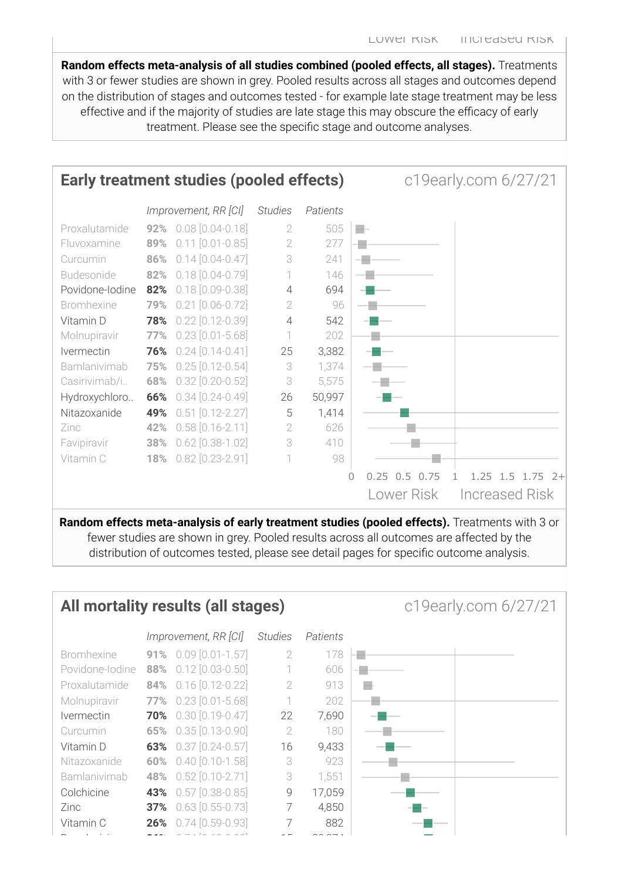Random effects meta-analysis of all studies combined (pooled effects, all stages). Treatments with 3 or fewer studies are shown in grey. Pooled results across all stages and outcomes depend on the distribution of stages and outcomes tested - for example late stage treatment may be less effective and if the majority of studies are late stage this may obscure the efficacy of early treatment. Please see the specific stage and outcome analyses.

<span id="page-1-0"></span>

Random effects meta-analysis of early treatment studies (pooled effects). Treatments with 3 or fewer studies are shown in grey. Pooled results across all outcomes are affected by the distribution of outcomes tested, please see detail pages for specific outcome analysis.

<span id="page-1-1"></span>

| All mortality results (all stages)<br>c19early.com 6/27/21 |  |                                   |                |          |  |
|------------------------------------------------------------|--|-----------------------------------|----------------|----------|--|
|                                                            |  | Improvement, RR [CI]              | <b>Studies</b> | Patients |  |
| <b>Bromhexine</b>                                          |  | <b>91%</b> $0.09$ $[0.01 - 1.57]$ | 2              | 178      |  |
| Povidone-lodine                                            |  | 88% 0.12 [0.03-0.50]              | 1              | 606      |  |
| Proxalutamide                                              |  | 84% 0.16 [0.12-0.22]              | $\mathcal{D}$  | 913      |  |
| Molnupiravir                                               |  | 77% 0.23 [0.01-5.68]              |                | 202      |  |
| <i><u><b>Ivermectin</b></u></i>                            |  | <b>70%</b> 0.30 [0.19-0.47]       | 22             | 7,690    |  |
| Curcumin                                                   |  | 65% 0.35 [0.13-0.90]              | 2              | 180      |  |
| Vitamin D                                                  |  | 63% 0.37 [0.24-0.57]              | 16             | 9,433    |  |
| Nitazoxanide                                               |  | 60% 0.40 [0.10-1.58]              | 3              | 923      |  |
| <b>Bamlanivimab</b>                                        |  | 48% 0.52 [0.10-2.71]              | 3              | 1,551    |  |
| Colchicine                                                 |  | 43% 0.57 [0.38-0.85]              | 9              | 17,059   |  |
| Zinc                                                       |  | 37% 0.63 [0.55-0.73]              | 7              | 4,850    |  |
| Vitamin C                                                  |  | 26% $0.74$ [0.59-0.93]            | 7              | 882      |  |
|                                                            |  |                                   |                |          |  |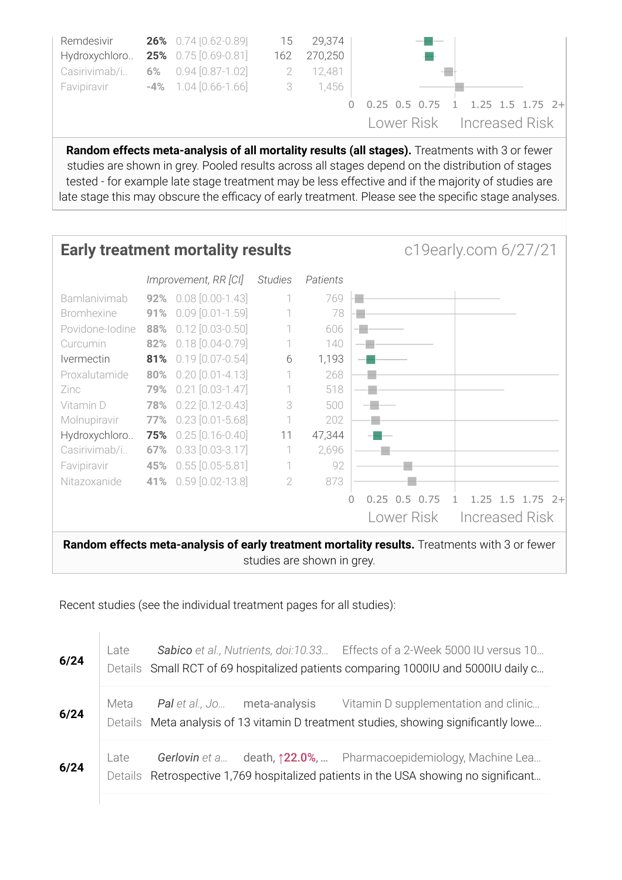

Random effects meta-analysis of all mortality results (all stages). Treatments with 3 or fewer studies are shown in grey. Pooled results across all stages depend on the distribution of stages tested - for example late stage treatment may be less effective and if the majority of studies are late stage this may obscure the efficacy of early treatment. Please see the specific stage analyses.

#### <span id="page-2-0"></span>**Early treatment mortality results** c19early.com 6/27/21 Improvement, RR [CI] Studies Patients Bamlanivimab 92% 0.08 [0.00-1.43] 1 769 ÷ Bromhexine **91%** 0.09 [0.01-1.59] 1 78 ÷ Povidone-Iodine 88% 0.12 [0.03-0.50] 1 606 ۰. Curcumin **82%** 0.18 [0.04-0.79] 1 140  $\sim$   $\sim$ Ivermectin **81%** 0.19 [0.07-0.54] 6 1,193  $\sim$   $\sim$ Proxalutamide 80% 0.20 [0.01-4.13] 1 268 ÷ Zinc **79%** 0.21 [0.03-1.47] 1 518 ÷ Vitamin D 78% 0.22 [0.12-0.43] 3 500 -11 Molnupiravir **77%** 0.23 [0.01-5.68] 1 202 Hydroxychloro.. **75%** 0.25 [0.16-0.40] 11 47,344 Casirivimab/i.. **67%** 0.33 [0.03-3.17] 1 2,696  $\blacksquare$ Favipiravir **45%** 0.55 [0.05-5.81] 1 92  $\overline{\phantom{a}}$ Nitazoxanide **41%** 0.59 [0.02-13.8] 2 873 e. 0 0.25 0.5 0.75 1 1.25 1.5 1.75 2+ Lower Risk Increased Risk

Random effects meta-analysis of early treatment mortality results. Treatments with 3 or fewer studies are shown in grey.

### <span id="page-2-1"></span>Recent studies (see the individual treatment pages for all studies):

 $\mathbb T$ 

| 6/24 | Late |                                     | Sabico et al., Nutrients, doi:10.33 Effects of a 2-Week 5000 IU versus 10<br>Details Small RCT of 69 hospitalized patients comparing 1000IU and 5000IU daily c |
|------|------|-------------------------------------|----------------------------------------------------------------------------------------------------------------------------------------------------------------|
| 6/24 | Meta | <b>Pal</b> et al., Jo meta-analysis | Vitamin D supplementation and clinic<br>Details Meta analysis of 13 vitamin D treatment studies, showing significantly lowe                                    |
| 6/24 | Late |                                     | Gerlovin et a death, 122.0%,  Pharmacoepidemiology, Machine Lea<br>Details Retrospective 1,769 hospitalized patients in the USA showing no significant         |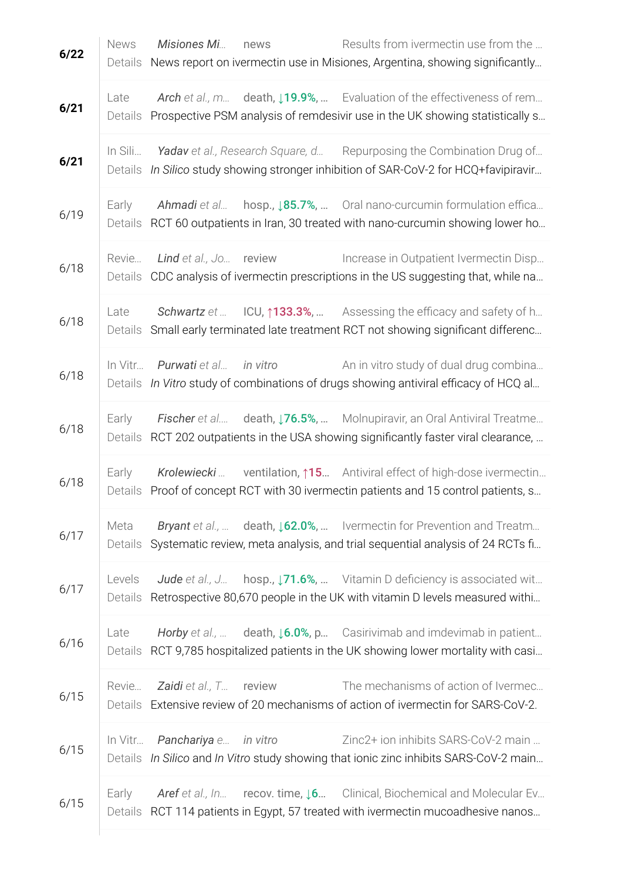| 6/22 | <b>News</b><br>Details | Results from ivermectin use from the<br>Misiones Mi<br>news<br>News report on ivermectin use in Misiones, Argentina, showing significantly                                  |
|------|------------------------|-----------------------------------------------------------------------------------------------------------------------------------------------------------------------------|
| 6/21 | Late<br>Details        | Arch et al., m death, 19.9%,  Evaluation of the effectiveness of rem<br>Prospective PSM analysis of remdesivir use in the UK showing statistically s                        |
| 6/21 | In Sili<br>Details     | Yadav et al., Research Square, d Repurposing the Combination Drug of<br>In Silico study showing stronger inhibition of SAR-CoV-2 for HCQ+favipiravir                        |
| 6/19 | Early<br>Details       | hosp., $\downarrow$ 85.7%,  Oral nano-curcumin formulation effica<br>Ahmadi et al<br>RCT 60 outpatients in Iran, 30 treated with nano-curcumin showing lower ho             |
| 6/18 | Revie<br>Details       | Increase in Outpatient Ivermectin Disp<br><b>Lind</b> et al., Jo review<br>CDC analysis of ivermectin prescriptions in the US suggesting that, while na                     |
| 6/18 | Late<br>Details        | Schwartz et  ICU, 133.3%,  Assessing the efficacy and safety of h<br>Small early terminated late treatment RCT not showing significant differenc                            |
| 6/18 | In Vitr                | in vitro<br>An in vitro study of dual drug combina<br>Purwati et al<br>Details In Vitro study of combinations of drugs showing antiviral efficacy of HCQ al                 |
| 6/18 | Early<br>Details       | Fischer et al death, J76.5%,  Molnupiravir, an Oral Antiviral Treatme<br>RCT 202 outpatients in the USA showing significantly faster viral clearance,                       |
| 6/18 | Early<br>Details       | Krolewiecki  ventilation, 15 Antiviral effect of high-dose ivermectin<br>Proof of concept RCT with 30 ivermectin patients and 15 control patients, s                        |
| 6/17 | Meta<br>Details        | Bryant et al.,  death, 162.0%,  Ivermectin for Prevention and Treatm<br>Systematic review, meta analysis, and trial sequential analysis of 24 RCTs fi                       |
| 6/17 | Levels                 | Jude et al., J hosp., 171.6%,  Vitamin D deficiency is associated wit<br>Details Retrospective 80,670 people in the UK with vitamin D levels measured withi                 |
| 6/16 | Late                   | Horby et al.,  death, $\text{16.0\%}, \text{p}$ Casirivimab and imdevimab in patient<br>Details RCT 9,785 hospitalized patients in the UK showing lower mortality with casi |
| 6/15 |                        | The mechanisms of action of Ivermec<br>Revie <b>Zaidi</b> et al., T <b>review</b><br>Details Extensive review of 20 mechanisms of action of ivermectin for SARS-CoV-2.      |
| 6/15 |                        | In Vitr Panchariya e in vitro<br>Zinc2+ ion inhibits SARS-CoV-2 main<br>Details In Silico and In Vitro study showing that ionic zinc inhibits SARS-CoV-2 main               |
| 6/15 | Early                  | Aref et al., In recov. time, $\downarrow 6$ Clinical, Biochemical and Molecular Ev<br>Details RCT 114 patients in Egypt, 57 treated with ivermectin mucoadhesive nanos      |
|      |                        |                                                                                                                                                                             |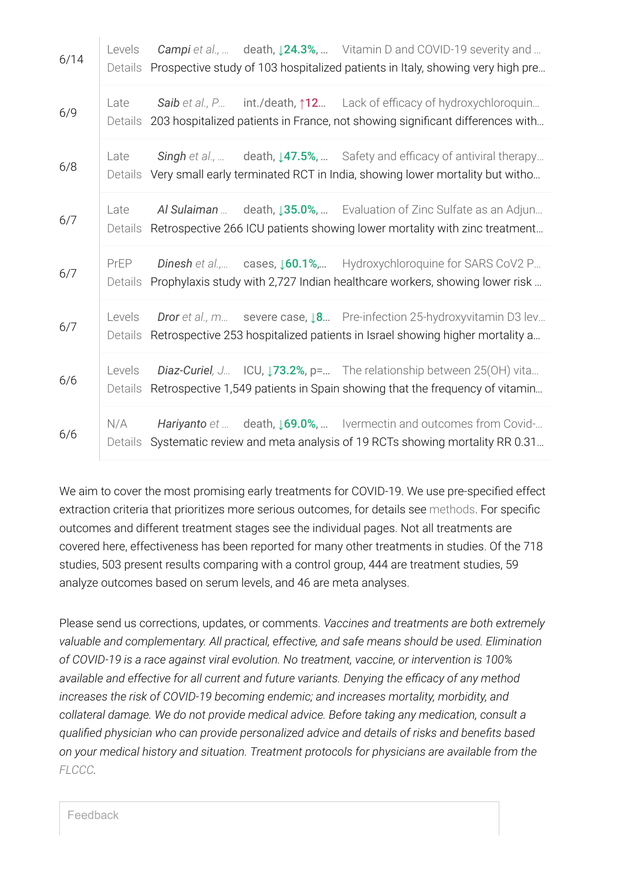| 6/14 | Levels<br>Details |  | Campi et al.,  death, $\downarrow$ 24.3%,  Vitamin D and COVID-19 severity and<br>Prospective study of 103 hospitalized patients in Italy, showing very high pre     |
|------|-------------------|--|----------------------------------------------------------------------------------------------------------------------------------------------------------------------|
| 6/9  | Late<br>Details   |  | Saib et al., P int./death, 12 Lack of efficacy of hydroxychloroquin<br>203 hospitalized patients in France, not showing significant differences with                 |
| 6/8  | Late<br>Details   |  | Singh et al.,  death, 147.5%,  Safety and efficacy of antiviral therapy<br>Very small early terminated RCT in India, showing lower mortality but witho               |
| 6/7  | Late<br>Details   |  | Al Sulaiman  death, 135.0%,  Evaluation of Zinc Sulfate as an Adjun<br>Retrospective 266 ICU patients showing lower mortality with zinc treatment                    |
| 6/7  | PrEP<br>Details   |  | Dinesh et al., cases, 160.1%, Hydroxychloroquine for SARS CoV2 P<br>Prophylaxis study with 2,727 Indian healthcare workers, showing lower risk                       |
| 6/7  | Levels<br>Details |  | <b>Dror</b> et al., m severe case, $\sqrt{8}$ Pre-infection 25-hydroxyvitamin D3 lev<br>Retrospective 253 hospitalized patients in Israel showing higher mortality a |
| 6/6  | Levels<br>Details |  | Diaz-Curiel, J ICU, 173.2%, p= The relationship between 25(OH) vita<br>Retrospective 1,549 patients in Spain showing that the frequency of vitamin                   |
| 6/6  | N/A<br>Details    |  | Hariyanto et  death, 169.0%,  Ivermectin and outcomes from Covid-<br>Systematic review and meta analysis of 19 RCTs showing mortality RR 0.31                        |

We aim to cover the most promising early treatments for COVID-19. We use pre-specified effect extraction criteria that prioritizes more serious outcomes, for details see [methods.](https://ivmmeta.com/#appendix_methods) For specific outcomes and different treatment stages see the individual pages. Not all treatments are covered here, effectiveness has been reported for many other treatments in studies. Of the 718 studies, 503 present results comparing with a control group, 444 are treatment studies, 59 analyze outcomes based on serum levels, and 46 are meta analyses.

Please send us corrections, updates, or comments. Vaccines and treatments are both extremely valuable and complementary. All practical, effective, and safe means should be used. Elimination of COVID-19 is a race against viral evolution. No treatment, vaccine, or intervention is 100% available and effective for all current and future variants. Denying the efficacy of any method increases the risk of COVID-19 becoming endemic; and increases mortality, morbidity, and collateral damage. We do not provide medical advice. Before taking any medication, consult a qualified physician who can provide personalized advice and details of risks and benefits based on your medical history and situation. Treatment protocols for physicians are available from the [FLCCC.](https://covid19criticalcare.com/covid-19-protocols/)